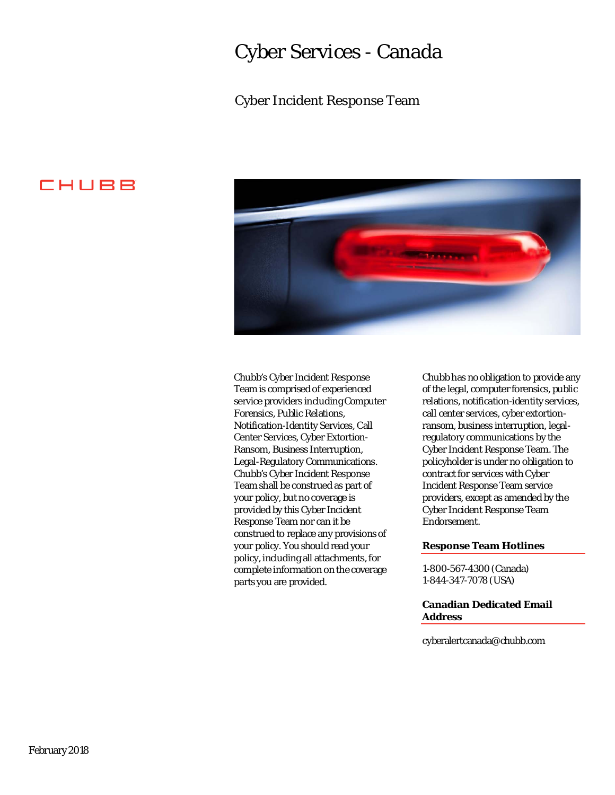### Cyber Services - Canada

### Cyber Incident Response Team





 Team shall be construed as part of your policy, but no coverage is construed to replace any provisions of your policy. You should read your policy, including all attachments, for Chubb's Cyber Incident Response Team is comprised of experienced service providers including Computer Forensics, Public Relations, Notification-Identity Services, Call Center Services, Cyber Extortion-Ransom, Business Interruption, Legal-Regulatory Communications. Chubb's Cyber Incident Response provided by this Cyber Incident Response Team nor can it be complete information on the coverage parts you are provided.

 of the legal, computer forensics, public policyholder is under no obligation to providers, except as amended by the Chubb has no obligation to provide any relations, notification-identity services, call center services, cyber extortionransom, business interruption, legalregulatory communications by the Cyber Incident Response Team. The contract for services with Cyber Incident Response Team service Cyber Incident Response Team Endorsement.

#### **Response Team Hotlines**

1-800-567-4300 (Canada) 1-844-347-7078 (USA)

#### **Address Canadian Dedicated Email**

[cyberalertcanada@chubb.com](mailto:cyberalertcanada@chubb.com)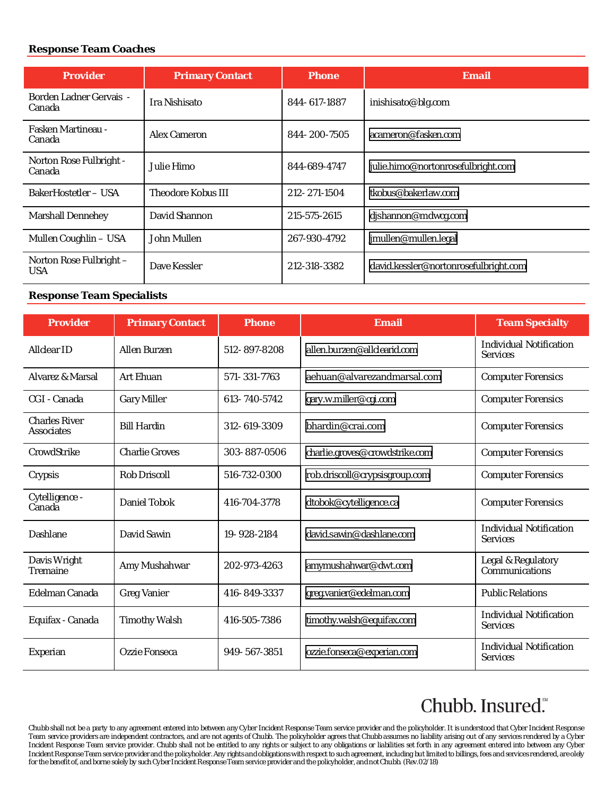#### **Response Team Coaches**

| <b>Provider</b>                          | <b>Primary Contact</b>    | <b>Phone</b> | <b>Email</b>                          |  |
|------------------------------------------|---------------------------|--------------|---------------------------------------|--|
| <b>Borden Ladner Gervais -</b><br>Canada | <b>Ira Nishisato</b>      | 844-617-1887 | inishisato@blg.com                    |  |
| <b>Fasken Martineau -</b><br>Canada      | Alex Cameron              | 844-200-7505 | acameron@fasken.com                   |  |
| Norton Rose Fulbright -<br>Canada        | Julie Himo.               | 844-689-4747 | julie.himo@nortonrosefulbright.com    |  |
| BakerHostetler – USA                     | <b>Theodore Kobus III</b> | 212-271-1504 | tkobus@bakerlaw.com                   |  |
| <b>Marshall Dennehey</b>                 | David Shannon             | 215-575-2615 | dishannon@mdwcg.com                   |  |
| Mullen Coughlin - USA                    | John Mullen               | 267-930-4792 | jmullen@mullen.legal                  |  |
| Norton Rose Fulbright -<br><b>USA</b>    | Dave Kessler              | 212-318-3382 | david.kessler@nortonrosefulbright.com |  |

#### **Response Team Specialists**

| <b>Provider</b>                           | <b>Primary Contact</b> | <b>Phone</b> | <b>Email</b>                   | <b>Team Specialty</b>                             |
|-------------------------------------------|------------------------|--------------|--------------------------------|---------------------------------------------------|
| <b>Allclear ID</b>                        | <b>Allen Burzen</b>    | 512-897-8208 | allen.burzen@allclearid.com    | <b>Individual Notification</b><br><b>Services</b> |
| Alvarez & Marsal                          | <b>Art Ehuan</b>       | 571-331-7763 | aehuan@alvarezandmarsal.com    | <b>Computer Forensics</b>                         |
| CGI - Canada                              | <b>Gary Miller</b>     | 613-740-5742 | gary.w.miller@cgi.com          | <b>Computer Forensics</b>                         |
| <b>Charles River</b><br><b>Associates</b> | <b>Bill Hardin</b>     | 312-619-3309 | bhardin@crai.com               | <b>Computer Forensics</b>                         |
| CrowdStrike                               | <b>Charlie Groves</b>  | 303-887-0506 | charlie.groves@crowdstrike.com | <b>Computer Forensics</b>                         |
| Crypsis                                   | <b>Rob Driscoll</b>    | 516-732-0300 | rob.driscoll@crypsisgroup.com  | <b>Computer Forensics</b>                         |
| Cytelligence -<br>Canada                  | Daniel Tobok           | 416-704-3778 | dtobok@cytelligence.ca         | <b>Computer Forensics</b>                         |
| <b>Dashlane</b>                           | David Sawin            | 19-928-2184  | david.sawin@dashlane.com       | <b>Individual Notification</b><br><b>Services</b> |
| Davis Wright<br>Tremaine                  | Amy Mushahwar          | 202-973-4263 | amymushahwar@dwt.com           | Legal & Regulatory<br>Communications              |
| Edelman Canada                            | <b>Greg Vanier</b>     | 416-849-3337 | greg.vanier@edelman.com        | <b>Public Relations</b>                           |
| Equifax - Canada                          | <b>Timothy Walsh</b>   | 416-505-7386 | timothy.walsh@equifax.com      | <b>Individual Notification</b><br><b>Services</b> |
| Experian                                  | Ozzie Fonseca          | 949-567-3851 | ozzie.fonseca@experian.com     | <b>Individual Notification</b><br><b>Services</b> |

# Chubb. Insured."

Chubb shall not be a party to any agreement entered into between any Cyber Incident Response Team service provider and the policyholder. It is understood that Cyber Incident Response Team service providers are independent contractors, and are not agents of Chubb. The policyholder agrees that Chubb assumes no liability arising out of any services rendered by a Cyber Incident Response Team service provider. Chubb shall not be entitled to any rights or subject to any obligations or liabilities set forth in any agreement entered into between any Cyber Incident Response Team service provider and the policyholder. Any rights and obligations with respect to such agreement, including but limited to billings, fees and servicesrendered, areolely for the benefit of, and borne solely by such Cyber Incident Response Team service provider and the policyholder, and not Chubb. (Rev.02/18)